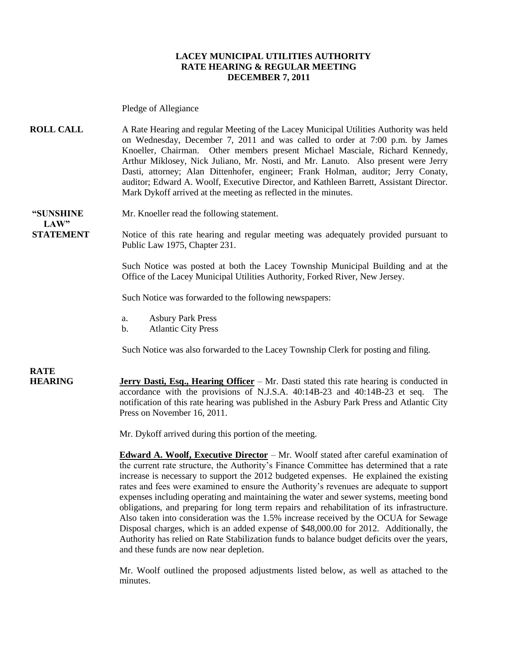#### **LACEY MUNICIPAL UTILITIES AUTHORITY RATE HEARING & REGULAR MEETING DECEMBER 7, 2011**

Pledge of Allegiance

**ROLL CALL** A Rate Hearing and regular Meeting of the Lacey Municipal Utilities Authority was held on Wednesday, December 7, 2011 and was called to order at 7:00 p.m. by James Knoeller, Chairman. Other members present Michael Masciale, Richard Kennedy, Arthur Miklosey, Nick Juliano, Mr. Nosti, and Mr. Lanuto. Also present were Jerry Dasti, attorney; Alan Dittenhofer, engineer; Frank Holman, auditor; Jerry Conaty, auditor; Edward A. Woolf, Executive Director, and Kathleen Barrett, Assistant Director. Mark Dykoff arrived at the meeting as reflected in the minutes.

**LAW"** 

**"SUNSHINE** Mr. Knoeller read the following statement.

**STATEMENT** Notice of this rate hearing and regular meeting was adequately provided pursuant to Public Law 1975, Chapter 231.

> Such Notice was posted at both the Lacey Township Municipal Building and at the Office of the Lacey Municipal Utilities Authority, Forked River, New Jersey.

Such Notice was forwarded to the following newspapers:

- a. Asbury Park Press
- b. Atlantic City Press

Such Notice was also forwarded to the Lacey Township Clerk for posting and filing.

**RATE** 

**HEARING Jerry Dasti, Esq., Hearing Officer** – Mr. Dasti stated this rate hearing is conducted in accordance with the provisions of N.J.S.A. 40:14B-23 and 40:14B-23 et seq. The notification of this rate hearing was published in the Asbury Park Press and Atlantic City Press on November 16, 2011.

Mr. Dykoff arrived during this portion of the meeting.

**Edward A. Woolf, Executive Director** – Mr. Woolf stated after careful examination of the current rate structure, the Authority's Finance Committee has determined that a rate increase is necessary to support the 2012 budgeted expenses. He explained the existing rates and fees were examined to ensure the Authority's revenues are adequate to support expenses including operating and maintaining the water and sewer systems, meeting bond obligations, and preparing for long term repairs and rehabilitation of its infrastructure. Also taken into consideration was the 1.5% increase received by the OCUA for Sewage Disposal charges, which is an added expense of \$48,000.00 for 2012. Additionally, the Authority has relied on Rate Stabilization funds to balance budget deficits over the years, and these funds are now near depletion.

Mr. Woolf outlined the proposed adjustments listed below, as well as attached to the minutes.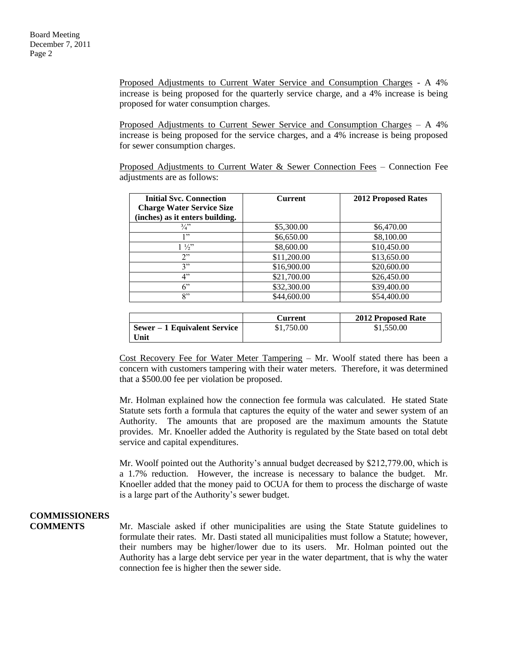Proposed Adjustments to Current Water Service and Consumption Charges - A 4% increase is being proposed for the quarterly service charge, and a 4% increase is being proposed for water consumption charges.

Proposed Adjustments to Current Sewer Service and Consumption Charges – A 4% increase is being proposed for the service charges, and a 4% increase is being proposed for sewer consumption charges.

Proposed Adjustments to Current Water & Sewer Connection Fees – Connection Fee adjustments are as follows:

| <b>Initial Svc. Connection</b><br><b>Charge Water Service Size</b> | <b>Current</b> | <b>2012 Proposed Rates</b> |
|--------------------------------------------------------------------|----------------|----------------------------|
| (inches) as it enters building.                                    |                |                            |
| $\frac{3}{4}$                                                      | \$5,300.00     | \$6,470.00                 |
| 1"                                                                 | \$6,650.00     | \$8,100.00                 |
| $1\frac{1}{2}$                                                     | \$8,600.00     | \$10,450.00                |
| 2"                                                                 | \$11,200.00    | \$13,650.00                |
| 3"                                                                 | \$16,900.00    | \$20,600.00                |
| 4"                                                                 | \$21,700.00    | \$26,450.00                |
| $6$ "                                                              | \$32,300.00    | \$39,400.00                |
| 8"                                                                 | \$44,600.00    | \$54,400.00                |

|                              | Current    | <b>2012 Proposed Rate</b> |
|------------------------------|------------|---------------------------|
| Sewer – 1 Equivalent Service | \$1,750.00 | \$1,550.00                |
| Unit                         |            |                           |

Cost Recovery Fee for Water Meter Tampering – Mr. Woolf stated there has been a concern with customers tampering with their water meters. Therefore, it was determined that a \$500.00 fee per violation be proposed.

Mr. Holman explained how the connection fee formula was calculated. He stated State Statute sets forth a formula that captures the equity of the water and sewer system of an Authority. The amounts that are proposed are the maximum amounts the Statute provides. Mr. Knoeller added the Authority is regulated by the State based on total debt service and capital expenditures.

Mr. Woolf pointed out the Authority's annual budget decreased by \$212,779.00, which is a 1.7% reduction. However, the increase is necessary to balance the budget. Mr. Knoeller added that the money paid to OCUA for them to process the discharge of waste is a large part of the Authority's sewer budget.

### **COMMISSIONERS**

**COMMENTS** Mr. Masciale asked if other municipalities are using the State Statute guidelines to formulate their rates. Mr. Dasti stated all municipalities must follow a Statute; however, their numbers may be higher/lower due to its users. Mr. Holman pointed out the Authority has a large debt service per year in the water department, that is why the water connection fee is higher then the sewer side.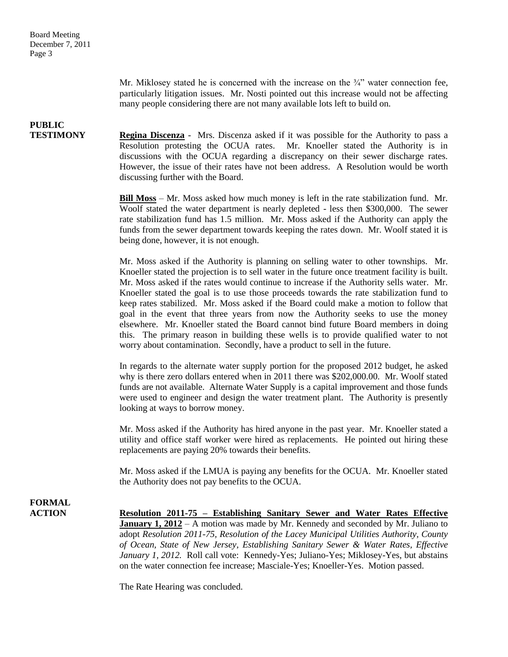Mr. Miklosey stated he is concerned with the increase on the  $\frac{3}{4}$ " water connection fee, particularly litigation issues. Mr. Nosti pointed out this increase would not be affecting many people considering there are not many available lots left to build on.

# **PUBLIC**

**TESTIMONY Regina Discenza** - Mrs. Discenza asked if it was possible for the Authority to pass a Resolution protesting the OCUA rates. Mr. Knoeller stated the Authority is in discussions with the OCUA regarding a discrepancy on their sewer discharge rates. However, the issue of their rates have not been address. A Resolution would be worth discussing further with the Board.

> **Bill Moss** – Mr. Moss asked how much money is left in the rate stabilization fund. Mr. Woolf stated the water department is nearly depleted - less then \$300,000. The sewer rate stabilization fund has 1.5 million. Mr. Moss asked if the Authority can apply the funds from the sewer department towards keeping the rates down. Mr. Woolf stated it is being done, however, it is not enough.

> Mr. Moss asked if the Authority is planning on selling water to other townships. Mr. Knoeller stated the projection is to sell water in the future once treatment facility is built. Mr. Moss asked if the rates would continue to increase if the Authority sells water. Mr. Knoeller stated the goal is to use those proceeds towards the rate stabilization fund to keep rates stabilized. Mr. Moss asked if the Board could make a motion to follow that goal in the event that three years from now the Authority seeks to use the money elsewhere. Mr. Knoeller stated the Board cannot bind future Board members in doing this. The primary reason in building these wells is to provide qualified water to not worry about contamination. Secondly, have a product to sell in the future.

> In regards to the alternate water supply portion for the proposed 2012 budget, he asked why is there zero dollars entered when in 2011 there was \$202,000.00. Mr. Woolf stated funds are not available. Alternate Water Supply is a capital improvement and those funds were used to engineer and design the water treatment plant. The Authority is presently looking at ways to borrow money.

> Mr. Moss asked if the Authority has hired anyone in the past year. Mr. Knoeller stated a utility and office staff worker were hired as replacements. He pointed out hiring these replacements are paying 20% towards their benefits.

> Mr. Moss asked if the LMUA is paying any benefits for the OCUA. Mr. Knoeller stated the Authority does not pay benefits to the OCUA.

# **FORMAL**

**ACTION Resolution 2011-75 – Establishing Sanitary Sewer and Water Rates Effective January 1, 2012** – A motion was made by Mr. Kennedy and seconded by Mr. Juliano to adopt *Resolution 2011-75, Resolution of the Lacey Municipal Utilities Authority, County of Ocean, State of New Jersey, Establishing Sanitary Sewer & Water Rates, Effective January 1, 2012.* Roll call vote: Kennedy-Yes; Juliano-Yes; Miklosey-Yes, but abstains on the water connection fee increase; Masciale-Yes; Knoeller-Yes. Motion passed.

The Rate Hearing was concluded.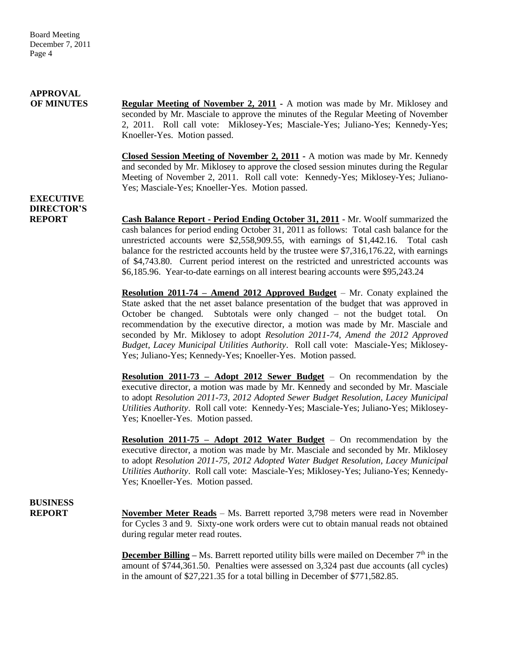# **APPROVAL**

**OF MINUTES Regular Meeting of November 2, 2011 -** A motion was made by Mr. Miklosey and seconded by Mr. Masciale to approve the minutes of the Regular Meeting of November 2, 2011. Roll call vote: Miklosey-Yes; Masciale-Yes; Juliano-Yes; Kennedy-Yes; Knoeller-Yes. Motion passed.

> **Closed Session Meeting of November 2, 2011 -** A motion was made by Mr. Kennedy and seconded by Mr. Miklosey to approve the closed session minutes during the Regular Meeting of November 2, 2011. Roll call vote: Kennedy-Yes; Miklosey-Yes; Juliano-Yes; Masciale-Yes; Knoeller-Yes. Motion passed.

**EXECUTIVE DIRECTOR'S**

**REPORT Cash Balance Report - Period Ending October 31, 2011** - Mr. Woolf summarized the cash balances for period ending October 31, 2011 as follows: Total cash balance for the unrestricted accounts were \$2,558,909.55, with earnings of \$1,442.16. Total cash balance for the restricted accounts held by the trustee were \$7,316,176.22, with earnings of \$4,743.80. Current period interest on the restricted and unrestricted accounts was \$6,185.96. Year-to-date earnings on all interest bearing accounts were \$95,243.24

> **Resolution 2011-74 – Amend 2012 Approved Budget** – Mr. Conaty explained the State asked that the net asset balance presentation of the budget that was approved in October be changed. Subtotals were only changed – not the budget total. On recommendation by the executive director, a motion was made by Mr. Masciale and seconded by Mr. Miklosey to adopt *Resolution 2011-74, Amend the 2012 Approved Budget, Lacey Municipal Utilities Authority*. Roll call vote: Masciale-Yes; Miklosey-Yes; Juliano-Yes; Kennedy-Yes; Knoeller-Yes. Motion passed.

> **Resolution 2011-73 – Adopt 2012 Sewer Budget** – On recommendation by the executive director, a motion was made by Mr. Kennedy and seconded by Mr. Masciale to adopt *Resolution 2011-73, 2012 Adopted Sewer Budget Resolution, Lacey Municipal Utilities Authority*. Roll call vote: Kennedy-Yes; Masciale-Yes; Juliano-Yes; Miklosey-Yes; Knoeller-Yes. Motion passed.

> **Resolution 2011-75 – Adopt 2012 Water Budget** – On recommendation by the executive director, a motion was made by Mr. Masciale and seconded by Mr. Miklosey to adopt *Resolution 2011-75, 2012 Adopted Water Budget Resolution, Lacey Municipal Utilities Authority*. Roll call vote: Masciale-Yes; Miklosey-Yes; Juliano-Yes; Kennedy-Yes; Knoeller-Yes. Motion passed.

# **BUSINESS**

**REPORT** November Meter Reads – Ms. Barrett reported 3,798 meters were read in November for Cycles 3 and 9. Sixty-one work orders were cut to obtain manual reads not obtained during regular meter read routes.

> **December Billing** – Ms. Barrett reported utility bills were mailed on December 7<sup>th</sup> in the amount of \$744,361.50. Penalties were assessed on 3,324 past due accounts (all cycles) in the amount of \$27,221.35 for a total billing in December of \$771,582.85.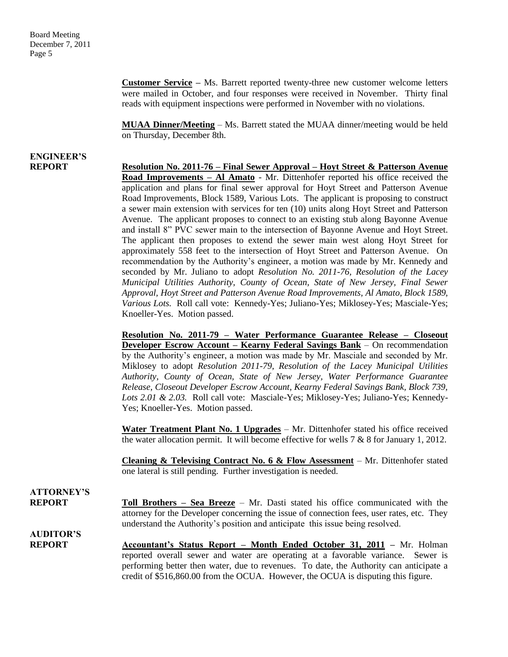**Customer Service –** Ms. Barrett reported twenty-three new customer welcome letters were mailed in October, and four responses were received in November. Thirty final reads with equipment inspections were performed in November with no violations.

**MUAA Dinner/Meeting** – Ms. Barrett stated the MUAA dinner/meeting would be held on Thursday, December 8th.

# **ENGINEER'S**

**REPORT Resolution No. 2011-76 – Final Sewer Approval – Hoyt Street & Patterson Avenue Road Improvements – Al Amato** - Mr. Dittenhofer reported his office received the application and plans for final sewer approval for Hoyt Street and Patterson Avenue Road Improvements, Block 1589, Various Lots. The applicant is proposing to construct a sewer main extension with services for ten (10) units along Hoyt Street and Patterson Avenue. The applicant proposes to connect to an existing stub along Bayonne Avenue and install 8" PVC sewer main to the intersection of Bayonne Avenue and Hoyt Street. The applicant then proposes to extend the sewer main west along Hoyt Street for approximately 558 feet to the intersection of Hoyt Street and Patterson Avenue. On recommendation by the Authority's engineer, a motion was made by Mr. Kennedy and seconded by Mr. Juliano to adopt *Resolution No. 2011-76, Resolution of the Lacey Municipal Utilities Authority, County of Ocean, State of New Jersey, Final Sewer Approval, Hoyt Street and Patterson Avenue Road Improvements, Al Amato, Block 1589, Various Lots.* Roll call vote: Kennedy-Yes; Juliano-Yes; Miklosey-Yes; Masciale-Yes; Knoeller-Yes. Motion passed.

> **Resolution No. 2011-79 – Water Performance Guarantee Release – Closeout Developer Escrow Account – Kearny Federal Savings Bank** – On recommendation by the Authority's engineer, a motion was made by Mr. Masciale and seconded by Mr. Miklosey to adopt *Resolution 2011-79, Resolution of the Lacey Municipal Utilities Authority, County of Ocean, State of New Jersey, Water Performance Guarantee Release, Closeout Developer Escrow Account, Kearny Federal Savings Bank, Block 739, Lots 2.01 & 2.03.* Roll call vote: Masciale-Yes; Miklosey-Yes; Juliano-Yes; Kennedy-Yes; Knoeller-Yes. Motion passed.

> **Water Treatment Plant No. 1 Upgrades** – Mr. Dittenhofer stated his office received the water allocation permit. It will become effective for wells  $7 & 8$  8 for January 1, 2012.

> **Cleaning & Televising Contract No. 6 & Flow Assessment** – Mr. Dittenhofer stated one lateral is still pending. Further investigation is needed.

### **ATTORNEY'S**

**REPORT Toll Brothers – Sea Breeze** – Mr. Dasti stated his office communicated with the attorney for the Developer concerning the issue of connection fees, user rates, etc. They understand the Authority's position and anticipate this issue being resolved.

**AUDITOR'S**

**REPORT Accountant's Status Report – Month Ended October 31, 2011 –** Mr. Holman reported overall sewer and water are operating at a favorable variance. Sewer is performing better then water, due to revenues. To date, the Authority can anticipate a credit of \$516,860.00 from the OCUA. However, the OCUA is disputing this figure.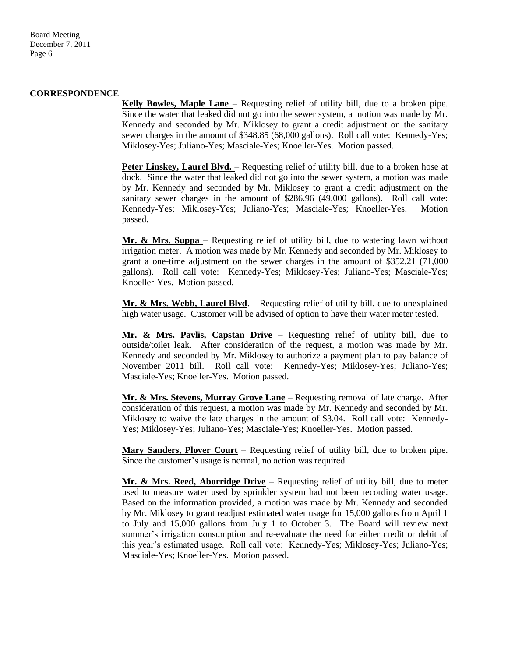Board Meeting December 7, 2011 Page 6

#### **CORRESPONDENCE**

**Kelly Bowles, Maple Lane** – Requesting relief of utility bill, due to a broken pipe. Since the water that leaked did not go into the sewer system, a motion was made by Mr. Kennedy and seconded by Mr. Miklosey to grant a credit adjustment on the sanitary sewer charges in the amount of \$348.85 (68,000 gallons). Roll call vote: Kennedy-Yes; Miklosey-Yes; Juliano-Yes; Masciale-Yes; Knoeller-Yes. Motion passed.

**Peter Linskey, Laurel Blvd.** – Requesting relief of utility bill, due to a broken hose at dock. Since the water that leaked did not go into the sewer system, a motion was made by Mr. Kennedy and seconded by Mr. Miklosey to grant a credit adjustment on the sanitary sewer charges in the amount of \$286.96 (49,000 gallons). Roll call vote: Kennedy-Yes; Miklosey-Yes; Juliano-Yes; Masciale-Yes; Knoeller-Yes. Motion passed.

**Mr. & Mrs. Suppa** – Requesting relief of utility bill, due to watering lawn without irrigation meter. A motion was made by Mr. Kennedy and seconded by Mr. Miklosey to grant a one-time adjustment on the sewer charges in the amount of \$352.21 (71,000 gallons). Roll call vote: Kennedy-Yes; Miklosey-Yes; Juliano-Yes; Masciale-Yes; Knoeller-Yes. Motion passed.

**Mr. & Mrs. Webb, Laurel Blvd**. – Requesting relief of utility bill, due to unexplained high water usage. Customer will be advised of option to have their water meter tested.

**Mr. & Mrs. Pavlis, Capstan Drive** – Requesting relief of utility bill, due to outside/toilet leak. After consideration of the request, a motion was made by Mr. Kennedy and seconded by Mr. Miklosey to authorize a payment plan to pay balance of November 2011 bill. Roll call vote: Kennedy-Yes; Miklosey-Yes; Juliano-Yes; Masciale-Yes; Knoeller-Yes. Motion passed.

**Mr. & Mrs. Stevens, Murray Grove Lane** – Requesting removal of late charge. After consideration of this request, a motion was made by Mr. Kennedy and seconded by Mr. Miklosey to waive the late charges in the amount of \$3.04. Roll call vote: Kennedy-Yes; Miklosey-Yes; Juliano-Yes; Masciale-Yes; Knoeller-Yes. Motion passed.

**Mary Sanders, Plover Court** – Requesting relief of utility bill, due to broken pipe. Since the customer's usage is normal, no action was required.

**Mr. & Mrs. Reed, Aborridge Drive** – Requesting relief of utility bill, due to meter used to measure water used by sprinkler system had not been recording water usage. Based on the information provided, a motion was made by Mr. Kennedy and seconded by Mr. Miklosey to grant readjust estimated water usage for 15,000 gallons from April 1 to July and 15,000 gallons from July 1 to October 3. The Board will review next summer's irrigation consumption and re-evaluate the need for either credit or debit of this year's estimated usage. Roll call vote: Kennedy-Yes; Miklosey-Yes; Juliano-Yes; Masciale-Yes; Knoeller-Yes. Motion passed.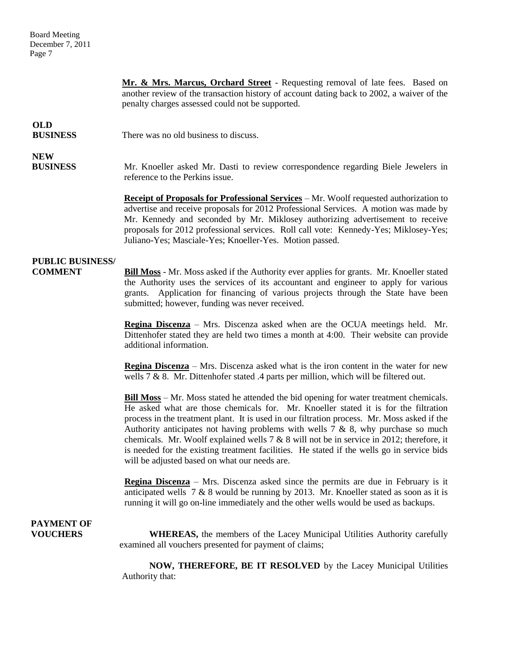Board Meeting December 7, 2011 Page 7

**Mr. & Mrs. Marcus, Orchard Street** - Requesting removal of late fees. Based on another review of the transaction history of account dating back to 2002, a waiver of the penalty charges assessed could not be supported. **OLD BUSINESS** There was no old business to discuss. **NEW BUSINESS** Mr. Knoeller asked Mr. Dasti to review correspondence regarding Biele Jewelers in reference to the Perkins issue. **Receipt of Proposals for Professional Services** – Mr. Woolf requested authorization to advertise and receive proposals for 2012 Professional Services. A motion was made by Mr. Kennedy and seconded by Mr. Miklosey authorizing advertisement to receive proposals for 2012 professional services. Roll call vote: Kennedy-Yes; Miklosey-Yes; Juliano-Yes; Masciale-Yes; Knoeller-Yes. Motion passed. **PUBLIC BUSINESS/ COMMENT Bill Moss** - Mr. Moss asked if the Authority ever applies for grants. Mr. Knoeller stated the Authority uses the services of its accountant and engineer to apply for various grants. Application for financing of various projects through the State have been submitted; however, funding was never received. **Regina Discenza** – Mrs. Discenza asked when are the OCUA meetings held. Mr. Dittenhofer stated they are held two times a month at 4:00. Their website can provide additional information. **Regina Discenza** – Mrs. Discenza asked what is the iron content in the water for new wells 7 & 8. Mr. Dittenhofer stated .4 parts per million, which will be filtered out. **Bill Moss** – Mr. Moss stated he attended the bid opening for water treatment chemicals. He asked what are those chemicals for. Mr. Knoeller stated it is for the filtration process in the treatment plant. It is used in our filtration process. Mr. Moss asked if the Authority anticipates not having problems with wells  $7 \& 8$ , why purchase so much chemicals. Mr. Woolf explained wells  $7 & 8$  will not be in service in 2012; therefore, it is needed for the existing treatment facilities. He stated if the wells go in service bids will be adjusted based on what our needs are. **Regina Discenza** – Mrs. Discenza asked since the permits are due in February is it anticipated wells  $7 & 8$  would be running by 2013. Mr. Knoeller stated as soon as it is running it will go on-line immediately and the other wells would be used as backups.  **PAYMENT OF VOUCHERS** WHEREAS, the members of the Lacey Municipal Utilities Authority carefully examined all vouchers presented for payment of claims;

> **NOW, THEREFORE, BE IT RESOLVED** by the Lacey Municipal Utilities Authority that: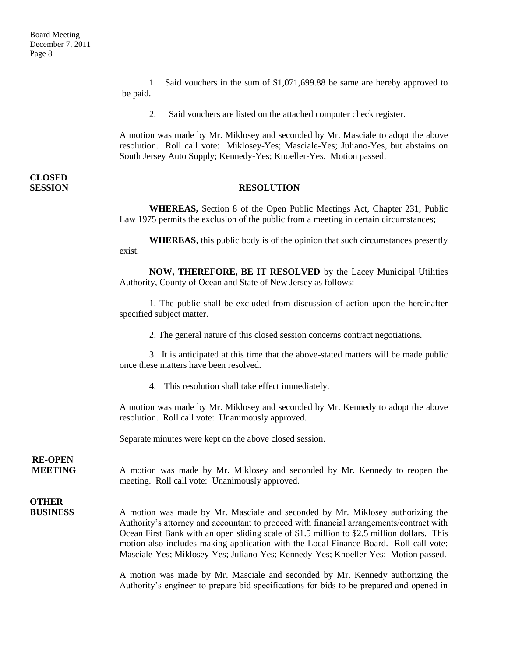1. Said vouchers in the sum of \$1,071,699.88 be same are hereby approved to be paid.

2. Said vouchers are listed on the attached computer check register.

A motion was made by Mr. Miklosey and seconded by Mr. Masciale to adopt the above resolution. Roll call vote: Miklosey-Yes; Masciale-Yes; Juliano-Yes, but abstains on South Jersey Auto Supply; Kennedy-Yes; Knoeller-Yes. Motion passed.

# **CLOSED**

#### **SESSION RESOLUTION**

**WHEREAS,** Section 8 of the Open Public Meetings Act, Chapter 231, Public Law 1975 permits the exclusion of the public from a meeting in certain circumstances;

**WHEREAS**, this public body is of the opinion that such circumstances presently exist.

**NOW, THEREFORE, BE IT RESOLVED** by the Lacey Municipal Utilities Authority, County of Ocean and State of New Jersey as follows:

1. The public shall be excluded from discussion of action upon the hereinafter specified subject matter.

2. The general nature of this closed session concerns contract negotiations.

3. It is anticipated at this time that the above-stated matters will be made public once these matters have been resolved.

4. This resolution shall take effect immediately.

A motion was made by Mr. Miklosey and seconded by Mr. Kennedy to adopt the above resolution. Roll call vote: Unanimously approved.

Separate minutes were kept on the above closed session.

### **RE-OPEN**

**MEETING** A motion was made by Mr. Miklosey and seconded by Mr. Kennedy to reopen the meeting. Roll call vote: Unanimously approved.

## **OTHER**

**BUSINESS** A motion was made by Mr. Masciale and seconded by Mr. Miklosey authorizing the Authority's attorney and accountant to proceed with financial arrangements/contract with Ocean First Bank with an open sliding scale of \$1.5 million to \$2.5 million dollars. This motion also includes making application with the Local Finance Board. Roll call vote: Masciale-Yes; Miklosey-Yes; Juliano-Yes; Kennedy-Yes; Knoeller-Yes; Motion passed.

> A motion was made by Mr. Masciale and seconded by Mr. Kennedy authorizing the Authority's engineer to prepare bid specifications for bids to be prepared and opened in